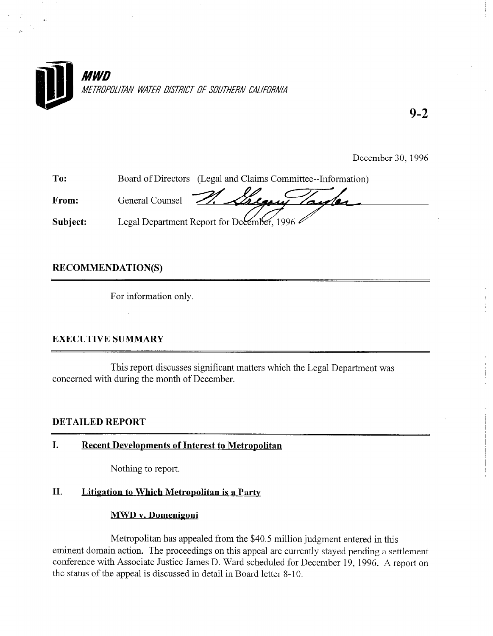

9-2

December 30, 1996

To: From: Subject: Board of Directors (Legal and Claims Committee--Information) General Counsel Legal Department Report for December, 1996

# RECOMMENDATION(S)

For information only.

# EXECUTIVE SUMMARY

This report discusses significant matters which the Legal Department was concerned with during the month of December.

## DETAILED REPORT

## I. Recent Developments of Interest to Metropolitan

Nothing to report.

# II. Litigation to Which Metropolitan is a Party

# MWD v. Domenigoni

Metropolitan has appealed from the \$40.5 million judgment entered in this eminent domain action. The proceedings on this appeal are currently stayed pending a settlement conference with Associate Justice James D. Ward scheduled for December 19, 1996. A report on the status of the appeal is discussed in detail in Board letter 8-10.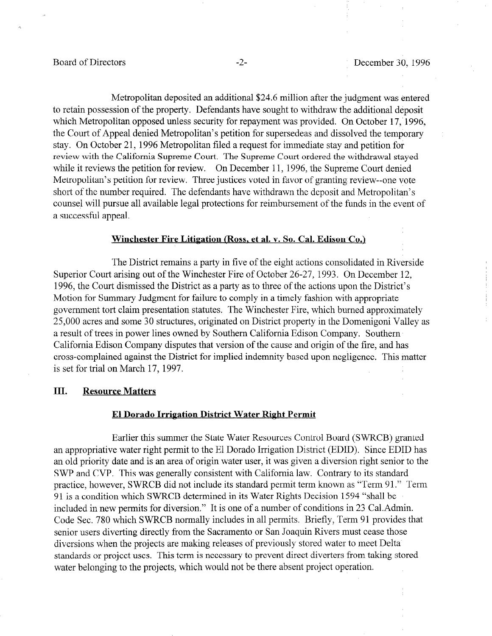Metropolitan deposited an additional \$24.6 million after the judgment was entered to retain possession of the property. Defendants have sought to withdraw the additional deposit which Metropolitan opposed unless security for repayment was provided. On October 17, 1996, the Court of Appeal denied Metropolitan's petition for supersedeas and dissolved the temporary stay. On October 21, 1996 Metropolitan filed a request for immediate stay and petition for review with the California Supreme Court. The Supreme Court ordered the withdrawal stayed while it reviews the petition for review. On December 11, 1996, the Supreme Court denied Metropolitan's petition for review. Three justices voted in favor of granting review--one vote short of the number required. The defendants have withdrawn the deposit and Metropolitan's counsel will pursue all available legal protections for reimbursement of the funds in the event of a successful appeal.

### Winchester Fire Litigation (Ross, et al. v. So. Cal. Edison Co.)

The District remains a party in five of the eight actions consolidated in Riverside Superior Court arising out of the Winchester Fire of October 26-27, 1993. On December 12, 1996, the Court dismissed the District as a party as to three of the actions upon the District's Motion for Summary Judgment for failure to comply in a timely fashion with appropriate government tort claim presentation statutes. The Winchester Fire, which burned approximately 25,000 acres and some 30 structures, originated on District property in the Domenigoni Valley as a result of trees in power lines owned by Southern California Edison Company. Southern California Edison Company disputes that version of the cause and origin of the fire, and has cross-complained against the District for implied indemnity based upon negligence. This matter is set for trial on March 17, 1997.

## III. Resource Matters

### El Dorado Irrigation District Water Right Permit

Earlier this summer the State Water Resources Control Board (SWRCB) granted an appropriative water right permit to the El Dorado Irrigation District (EDID). Since EDID has an old priority date and is an area of origin water user, it was given a diversion right senior to the SWP and CVP. This was generally consistent with California law. Contrary to its standard practice, however, SWRCB did not include its standard permit term known as "Term 91." Term 91 is a condition which SWRCB determined in its Water Rights Decision 1594 "shall be included in new permits for diversion." It is one of a number of conditions in 23 Cal.Admin. Code Sec. 780 which SWRCB normally includes in all permits. Briefly, Term 91 provides that senior users diverting directly from the Sacramento or San Joaquin Rivers must cease those diversions when the projects are making releases of previously stored water to meet Delta standards or project uses. This term is necessary to prevent direct diverters from taking stored water belonging to the projects, which would not be there absent project operation.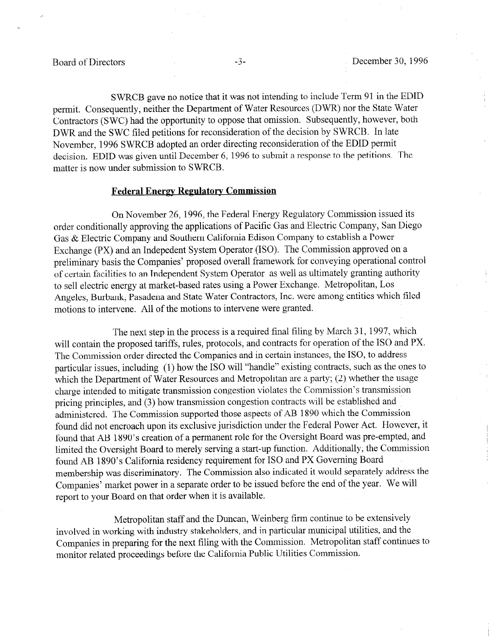SWRCB gave no notice that it was not intending to include Term 91 in the EDID permit. Consequently, neither the Department of Water Resources (DWR) nor the State Water Contractors (SWC) had the opportunity to oppose that omission. Subsequently, however, both DWR and the SWC filed petitions for reconsideration of the decision by SWRCB. In late November, 1996 S WRCB adopted an order directing reconsideration of the EDID permit decision. EDID was given until December 6, 1996 to submit a response to the petitions. The matter is now under submission to SWRCB.

### **Federal Energy Regulatory Commission**

On November 26, 1996, the Federal Energy Regulatory Commission issued its order conditionally approving the applications of Pacific Gas and Electric Company, San Diego Gas & Electric Company and Southern California Edison Company to establish a Power Exchange (PX) and an Indepedent System Operator (ISO). The Commission approved on a preliminary basis the Companies' proposed overall framework for conveying operational control of certain facilities to an Independent System Operator as well as ultimately granting authority to sell electric energy at market-based rates using a Power Exchange. Metropolitan, Los Angeles, Burbank, Pasadena and State Water Contractors, Inc. were among 'entities which filed motions to intervene. All of the motions to intervene were granted.

The next step in the process is a required final filing by March 31, 1997, which will contain the proposed tariffs, rules, protocols, and contracts for operation of the IS0 and PX. The Commission order directed the Companies and in certain instances, the ISO, to address particular issues, including (1) how the IS0 will "handle" existing contracts, such as the ones to which the Department of Water Resources and Metropolitan are a party; (2) whether the usage charge intended to mitigate transmission congestion violates the Commission's transmission pricing principles, and (3) how transmission congestion contracts will be established and administered. The Commission supported those aspects of AB 1890 which the Commission found did not encroach upon its exclusive jurisdiction under the Federal Power Act. However, it found that AB 1890's creation of a permanent role for the Oversight Board was pre-empted, and limited the Oversight Board to merely serving a start-up function. Additionally, the Commission found AB 1890's California residency requirement for IS0 and PX Governing Board membership was discriminatory. The Commission also indicated it would separately address the Companies' market power in a separate order to be issued before the end of the year. We will report to your Board on that order when it is available.

Metropolitan staff and the Duncan, Weinberg firm continue to be extensively involved in working with industry stakeholders, and in particular municipal utilities, and the Companies in preparing for the next filing with the Commission. Metropolitan staff continues to monitor related proceedings before the California Public Utilities Commission.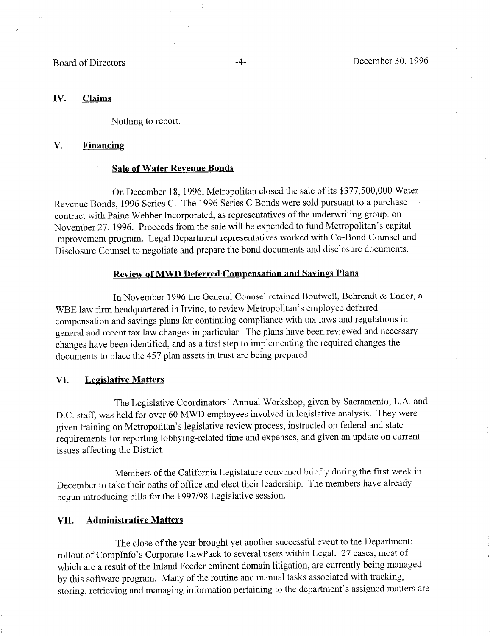## IV. Claims

Nothing to report.

## V. Financing

### Sale of Water Revenue Bonds

On December 18, 1996, Metropolitan closed the sale of its \$377,500,000 Water Revenue Bonds, 1996 Series C. The 1996 Series C Bonds were sold pursuant to a purchase contract with Paine Webber Incorporated, as representatives of the underwriting group. on November 27, 1996. Proceeds from the sale will be expended to fund Metropolitan's capital improvement program. Legal Department representatives worked with Co-Bond Counsel and Disclosure Counsel to negotiate and prepare the bond documents and disclosure documents.

### Review of MWD Deferred Compensation and Savings Plans

In November 1996 the General Counsel retained Boutwell, Behrendt & Ennor, a WBE law firm headquartered in Irvine, to review Metropolitan's employee deferred compensation and savings plans for continuing compliance with tax laws and regulations in general and recent tax law changes in particular. The plans have been reviewed and necessary changes have been identified, and as a first step to implementing the required changes the documents to place the 457 plan assets in trust are being prepared.

## VI. Legislative Matters

The Legislative Coordinators' Annual Workshop, given by Sacramento, L.A. and D.C. staff, was held for over 60 MWD employees involved in legislative analysis. They were given training on Metropolitan's legislative review process, instructed on federal and state requirements for reporting lobbying-related time and expenses, and given an update on current issues affecting the District.

Members of the California Legislature convened briefly during the first week in December to take their oaths of office and elect their leadership. The members have already begun introducing bills for the 1997/98 Legislative session.

## VII. Administrative Matters

The close of the year brought yet another successful event to the Department: rollout of CompInfo's Corporate LawPack to several users within Legal. 2'7 cases, most of which are a result of the Inland Feeder eminent domain litigation, are currently being managed by this software program. Many of the routine and manual tasks associated with tracking, storing, retrieving and managing information pertaining to the department's assigned matters are